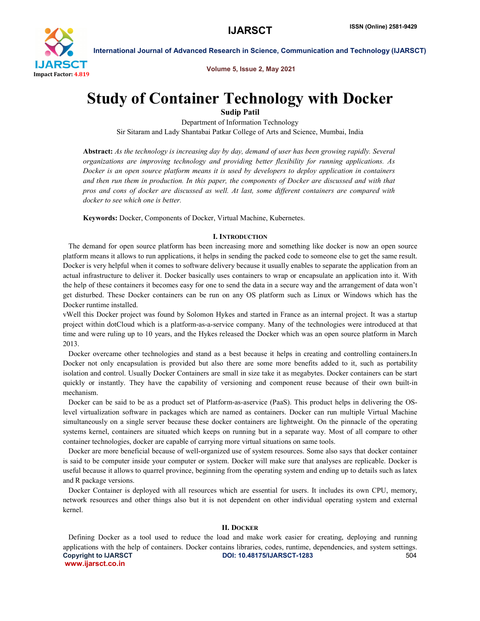

Volume 5, Issue 2, May 2021

# Study of Container Technology with Docker

Sudip Patil

Department of Information Technology Sir Sitaram and Lady Shantabai Patkar College of Arts and Science, Mumbai, India

Abstract: *As the technology is increasing day by day, demand of user has been growing rapidly. Several organizations are improving technology and providing better flexibility for running applications. As Docker is an open source platform means it is used by developers to deploy application in containers and then run them in production. In this paper, the components of Docker are discussed and with that pros and cons of docker are discussed as well. At last, some different containers are compared with docker to see which one is better.*

Keywords: Docker, Components of Docker, Virtual Machine, Kubernetes.

### I. INTRODUCTION

 The demand for open source platform has been increasing more and something like docker is now an open source platform means it allows to run applications, it helps in sending the packed code to someone else to get the same result. Docker is very helpful when it comes to software delivery because it usually enables to separate the application from an actual infrastructure to deliver it. Docker basically uses containers to wrap or encapsulate an application into it. With the help of these containers it becomes easy for one to send the data in a secure way and the arrangement of data won't get disturbed. These Docker containers can be run on any OS platform such as Linux or Windows which has the Docker runtime installed.

vWell this Docker project was found by Solomon Hykes and started in France as an internal project. It was a startup project within dotCloud which is a platform-as-a-service company. Many of the technologies were introduced at that time and were ruling up to 10 years, and the Hykes released the Docker which was an open source platform in March 2013.

 Docker overcame other technologies and stand as a best because it helps in creating and controlling containers.In Docker not only encapsulation is provided but also there are some more benefits added to it, such as portability isolation and control. Usually Docker Containers are small in size take it as megabytes. Docker containers can be start quickly or instantly. They have the capability of versioning and component reuse because of their own built-in mechanism.

 Docker can be said to be as a product set of Platform-as-aservice (PaaS). This product helps in delivering the OSlevel virtualization software in packages which are named as containers. Docker can run multiple Virtual Machine simultaneously on a single server because these docker containers are lightweight. On the pinnacle of the operating systems kernel, containers are situated which keeps on running but in a separate way. Most of all compare to other container technologies, docker are capable of carrying more virtual situations on same tools.

 Docker are more beneficial because of well-organized use of system resources. Some also says that docker container is said to be computer inside your computer or system. Docker will make sure that analyses are replicable. Docker is useful because it allows to quarrel province, beginning from the operating system and ending up to details such as latex and R package versions.

 Docker Container is deployed with all resources which are essential for users. It includes its own CPU, memory, network resources and other things also but it is not dependent on other individual operating system and external kernel.

#### II. DOCKER

Copyright to IJARSCT **DOI: 10.48175/IJARSCT-1283** 504 www.ijarsct.co.in Defining Docker as a tool used to reduce the load and make work easier for creating, deploying and running applications with the help of containers. Docker contains libraries, codes, runtime, dependencies, and system settings.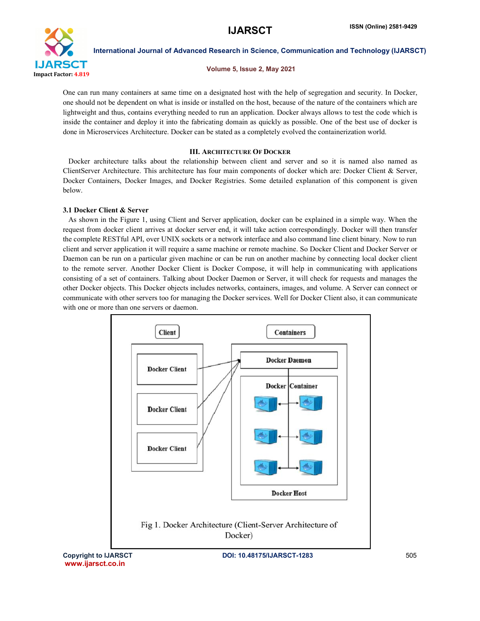

#### Volume 5, Issue 2, May 2021

One can run many containers at same time on a designated host with the help of segregation and security. In Docker, one should not be dependent on what is inside or installed on the host, because of the nature of the containers which are lightweight and thus, contains everything needed to run an application. Docker always allows to test the code which is inside the container and deploy it into the fabricating domain as quickly as possible. One of the best use of docker is done in Microservices Architecture. Docker can be stated as a completely evolved the containerization world.

### III. ARCHITECTURE OF DOCKER

 Docker architecture talks about the relationship between client and server and so it is named also named as ClientServer Architecture. This architecture has four main components of docker which are: Docker Client & Server, Docker Containers, Docker Images, and Docker Registries. Some detailed explanation of this component is given below.

# 3.1 Docker Client & Server

 As shown in the Figure 1, using Client and Server application, docker can be explained in a simple way. When the request from docker client arrives at docker server end, it will take action correspondingly. Docker will then transfer the complete RESTful API, over UNIX sockets or a network interface and also command line client binary. Now to run client and server application it will require a same machine or remote machine. So Docker Client and Docker Server or Daemon can be run on a particular given machine or can be run on another machine by connecting local docker client to the remote server. Another Docker Client is Docker Compose, it will help in communicating with applications consisting of a set of containers. Talking about Docker Daemon or Server, it will check for requests and manages the other Docker objects. This Docker objects includes networks, containers, images, and volume. A Server can connect or communicate with other servers too for managing the Docker services. Well for Docker Client also, it can communicate with one or more than one servers or daemon.



www.ijarsct.co.in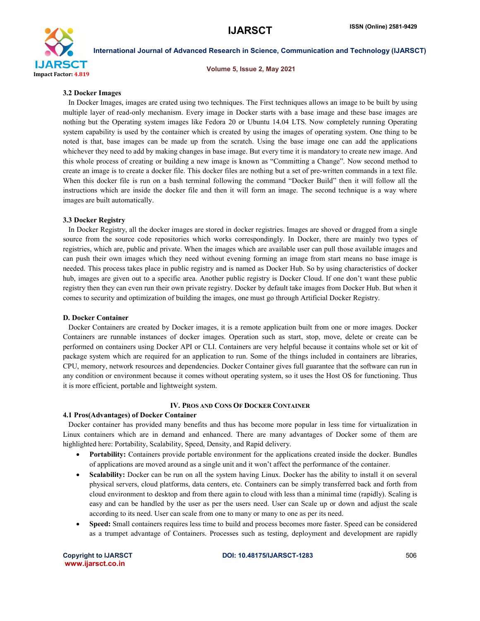

Volume 5, Issue 2, May 2021

### 3.2 Docker Images

 In Docker Images, images are crated using two techniques. The First techniques allows an image to be built by using multiple layer of read-only mechanism. Every image in Docker starts with a base image and these base images are nothing but the Operating system images like Fedora 20 or Ubuntu 14.04 LTS. Now completely running Operating system capability is used by the container which is created by using the images of operating system. One thing to be noted is that, base images can be made up from the scratch. Using the base image one can add the applications whichever they need to add by making changes in base image. But every time it is mandatory to create new image. And this whole process of creating or building a new image is known as "Committing a Change". Now second method to create an image is to create a docker file. This docker files are nothing but a set of pre-written commands in a text file. When this docker file is run on a bash terminal following the command "Docker Build" then it will follow all the instructions which are inside the docker file and then it will form an image. The second technique is a way where images are built automatically.

# 3.3 Docker Registry

 In Docker Registry, all the docker images are stored in docker registries. Images are shoved or dragged from a single source from the source code repositories which works correspondingly. In Docker, there are mainly two types of registries, which are, public and private. When the images which are available user can pull those available images and can push their own images which they need without evening forming an image from start means no base image is needed. This process takes place in public registry and is named as Docker Hub. So by using characteristics of docker hub, images are given out to a specific area. Another public registry is Docker Cloud. If one don't want these public registry then they can even run their own private registry. Docker by default take images from Docker Hub. But when it comes to security and optimization of building the images, one must go through Artificial Docker Registry.

#### D. Docker Container

 Docker Containers are created by Docker images, it is a remote application built from one or more images. Docker Containers are runnable instances of docker images. Operation such as start, stop, move, delete or create can be performed on containers using Docker API or CLI. Containers are very helpful because it contains whole set or kit of package system which are required for an application to run. Some of the things included in containers are libraries, CPU, memory, network resources and dependencies. Docker Container gives full guarantee that the software can run in any condition or environment because it comes without operating system, so it uses the Host OS for functioning. Thus it is more efficient, portable and lightweight system.

#### IV. PROS AND CONS OF DOCKER CONTAINER

#### 4.1 Pros(Advantages) of Docker Container

 Docker container has provided many benefits and thus has become more popular in less time for virtualization in Linux containers which are in demand and enhanced. There are many advantages of Docker some of them are highlighted here: Portability, Scalability, Speed, Density, and Rapid delivery.

- Portability: Containers provide portable environment for the applications created inside the docker. Bundles of applications are moved around as a single unit and it won't affect the performance of the container.
- Scalability: Docker can be run on all the system having Linux. Docker has the ability to install it on several physical servers, cloud platforms, data centers, etc. Containers can be simply transferred back and forth from cloud environment to desktop and from there again to cloud with less than a minimal time (rapidly). Scaling is easy and can be handled by the user as per the users need. User can Scale up or down and adjust the scale according to its need. User can scale from one to many or many to one as per its need.
- Speed: Small containers requires less time to build and process becomes more faster. Speed can be considered as a trumpet advantage of Containers. Processes such as testing, deployment and development are rapidly

www.ijarsct.co.in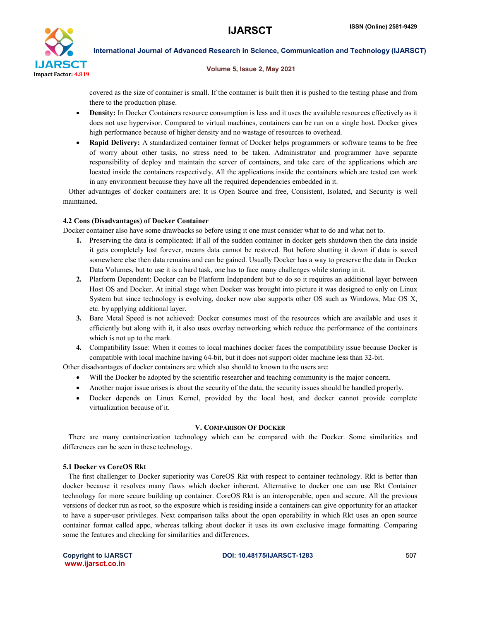

#### Volume 5, Issue 2, May 2021

covered as the size of container is small. If the container is built then it is pushed to the testing phase and from there to the production phase.

- Density: In Docker Containers resource consumption is less and it uses the available resources effectively as it does not use hypervisor. Compared to virtual machines, containers can be run on a single host. Docker gives high performance because of higher density and no wastage of resources to overhead.
- Rapid Delivery: A standardized container format of Docker helps programmers or software teams to be free of worry about other tasks, no stress need to be taken. Administrator and programmer have separate responsibility of deploy and maintain the server of containers, and take care of the applications which are located inside the containers respectively. All the applications inside the containers which are tested can work in any environment because they have all the required dependencies embedded in it.

 Other advantages of docker containers are: It is Open Source and free, Consistent, Isolated, and Security is well maintained.

# 4.2 Cons (Disadvantages) of Docker Container

Docker container also have some drawbacks so before using it one must consider what to do and what not to.

- 1. Preserving the data is complicated: If all of the sudden container in docker gets shutdown then the data inside it gets completely lost forever, means data cannot be restored. But before shutting it down if data is saved somewhere else then data remains and can be gained. Usually Docker has a way to preserve the data in Docker Data Volumes, but to use it is a hard task, one has to face many challenges while storing in it.
- 2. Platform Dependent: Docker can be Platform Independent but to do so it requires an additional layer between Host OS and Docker. At initial stage when Docker was brought into picture it was designed to only on Linux System but since technology is evolving, docker now also supports other OS such as Windows, Mac OS X, etc. by applying additional layer.
- 3. Bare Metal Speed is not achieved: Docker consumes most of the resources which are available and uses it efficiently but along with it, it also uses overlay networking which reduce the performance of the containers which is not up to the mark.
- 4. Compatibility Issue: When it comes to local machines docker faces the compatibility issue because Docker is compatible with local machine having 64-bit, but it does not support older machine less than 32-bit.

Other disadvantages of docker containers are which also should to known to the users are:

- Will the Docker be adopted by the scientific researcher and teaching community is the major concern.
- Another major issue arises is about the security of the data, the security issues should be handled properly.
- Docker depends on Linux Kernel, provided by the local host, and docker cannot provide complete virtualization because of it.

#### V. COMPARISON OF DOCKER

 There are many containerization technology which can be compared with the Docker. Some similarities and differences can be seen in these technology.

# 5.1 Docker vs CoreOS Rkt

 The first challenger to Docker superiority was CoreOS Rkt with respect to container technology. Rkt is better than docker because it resolves many flaws which docker inherent. Alternative to docker one can use Rkt Container technology for more secure building up container. CoreOS Rkt is an interoperable, open and secure. All the previous versions of docker run as root, so the exposure which is residing inside a containers can give opportunity for an attacker to have a super-user privileges. Next comparison talks about the open operability in which Rkt uses an open source container format called appc, whereas talking about docker it uses its own exclusive image formatting. Comparing some the features and checking for similarities and differences.

www.ijarsct.co.in

Copyright to IJARSCT **DOI: 10.48175/IJARSCT-1283** 507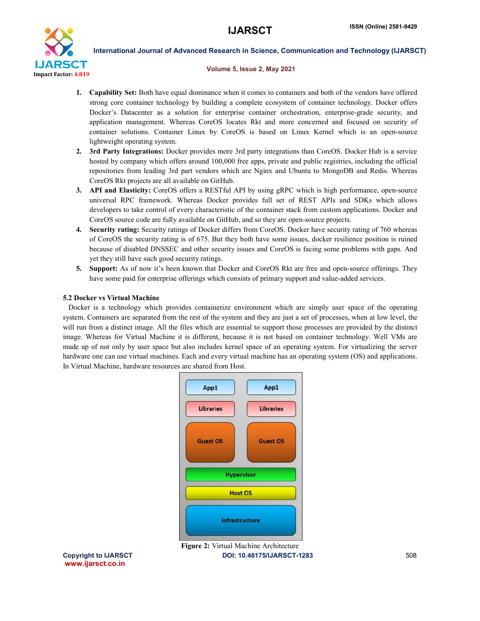

#### Volume 5, Issue 2, May 2021

- 1. Capability Set: Both have equal dominance when it comes to containers and both of the vendors have offered strong core container technology by building a complete ecosystem of container technology. Docker offers Docker's Datacenter as a solution for enterprise container orchestration, enterprise-grade security, and application management. Whereas CoreOS locates Rkt and more concerned and focused on security of container solutions. Container Linux by CoreOS is based on Linux Kernel which is an open-source lightweight operating system.
- 2. 3rd Party Integrations: Docker provides more 3rd party integrations than CoreOS. Docker Hub is a service hosted by company which offers around 100,000 free apps, private and public registries, including the official repositories from leading 3rd part vendors which are Nginx and Ubuntu to MongoDB and Redis. Whereas CoreOS Rkt projects are all available on GitHub.
- 3. API and Elasticity: CoreOS offers a RESTful API by using gRPC which is high performance, open-source universal RPC framework. Whereas Docker provides full set of REST APIs and SDKs which allows developers to take control of every characteristic of the container stack from custom applications. Docker and CoreOS source code are fully available on GitHub, and so they are open-source projects.
- 4. Security rating: Security ratings of Docker differs from CoreOS. Docker have security rating of 760 whereas of CoreOS the security rating is of 675. But they both have some issues, docker resilience position is ruined because of disabled DNSSEC and other security issues and CoreOS is facing some problems with gaps. And yet they still have such good security ratings.
- 5. Support: As of now it's been known that Docker and CoreOS Rkt are free and open-source offerings. They have some paid for enterprise offerings which consists of primary support and value-added services.

# 5.2 Docker vs Virtual Machine

 Docker is a technology which provides containerize environment which are simply user space of the operating system. Containers are separated from the rest of the system and they are just a set of processes, when at low level, the will run from a distinct image. All the files which are essential to support those processes are provided by the distinct image. Whereas for Virtual Machine it is different, because it is not based on container technology. Well VMs are made up of not only by user space but also includes kernel space of an operating system. For virtualizing the server hardware one can use virtual machines. Each and every virtual machine has an operating system (OS) and applications. In Virtual Machine, hardware resources are shared from Host.



www.ijarsct.co.in

Copyright to IJARSCT **DOI: 10.48175/IJARSCT-1283** 508 Figure 2: Virtual Machine Architecture